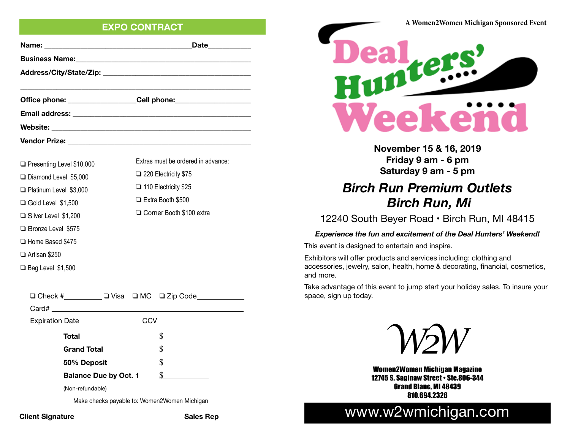# **EXPO CONTRACT**

|                                                                                                                                                                                                                                      | Date___________                                                                  |  |
|--------------------------------------------------------------------------------------------------------------------------------------------------------------------------------------------------------------------------------------|----------------------------------------------------------------------------------|--|
| Business Name: <b>Manual According to the Contract of According to the Contract of According to the Contract of According to the Contract of According to the Contract of According to the Contract of According to the Contract</b> |                                                                                  |  |
|                                                                                                                                                                                                                                      |                                                                                  |  |
|                                                                                                                                                                                                                                      |                                                                                  |  |
|                                                                                                                                                                                                                                      | Office phone: ___________________Cell phone: ___________________________________ |  |
|                                                                                                                                                                                                                                      |                                                                                  |  |
|                                                                                                                                                                                                                                      |                                                                                  |  |
|                                                                                                                                                                                                                                      |                                                                                  |  |

| □ Presenting Level \$10,000   | Extras must be ordered in advance: |
|-------------------------------|------------------------------------|
| □ Diamond Level \$5,000       | $\Box$ 220 Electricity \$75        |
| □ Platinum Level \$3,000      | $\Box$ 110 Electricity \$25        |
| □ Gold Level \$1,500          | □ Extra Booth \$500                |
| <b>□ Silver Level \$1,200</b> | □ Corner Booth \$100 extra         |
| □ Bronze Level \$575          |                                    |
| □ Home Based \$475            |                                    |
| <b>□ Artisan \$250</b>        |                                    |

❏ Bag Level \$1,500

| □ Check #_________ □ Visa □ MC □ Zip Code____ |              |  |  |
|-----------------------------------------------|--------------|--|--|
| Card#                                         |              |  |  |
| Expiration Date                               |              |  |  |
| Total                                         | S.           |  |  |
| <b>Grand Total</b>                            |              |  |  |
| 50% Deposit                                   | S.           |  |  |
| <b>Balance Due by Oct. 1</b>                  | $\mathbb{S}$ |  |  |
| (Non-refundable)                              |              |  |  |
| Make checks payable to: Women2Women Michigan  |              |  |  |

**Client Signature Sales Rep** 



Weekend

**November 15 & 16, 2019 Friday 9 am - 6 pm Saturday 9 am - 5 pm**

# *Birch Run Premium Outlets Birch Run, Mi*

12240 South Beyer Road • Birch Run, MI 48415

#### *Experience the fun and excitement of the Deal Hunters' Weekend!*

This event is designed to entertain and inspire.

Exhibitors will offer products and services including: clothing and accessories, jewelry, salon, health, home & decorating, financial, cosmetics, and more.

Take advantage of this event to jump start your holiday sales. To insure your space, sign up today.



Women2Women Michigan Magazine 12745 S. Saginaw Street • Ste.806-344 Grand Blanc, MI 48439 810.694.2326

# www.w2wmichigan.com